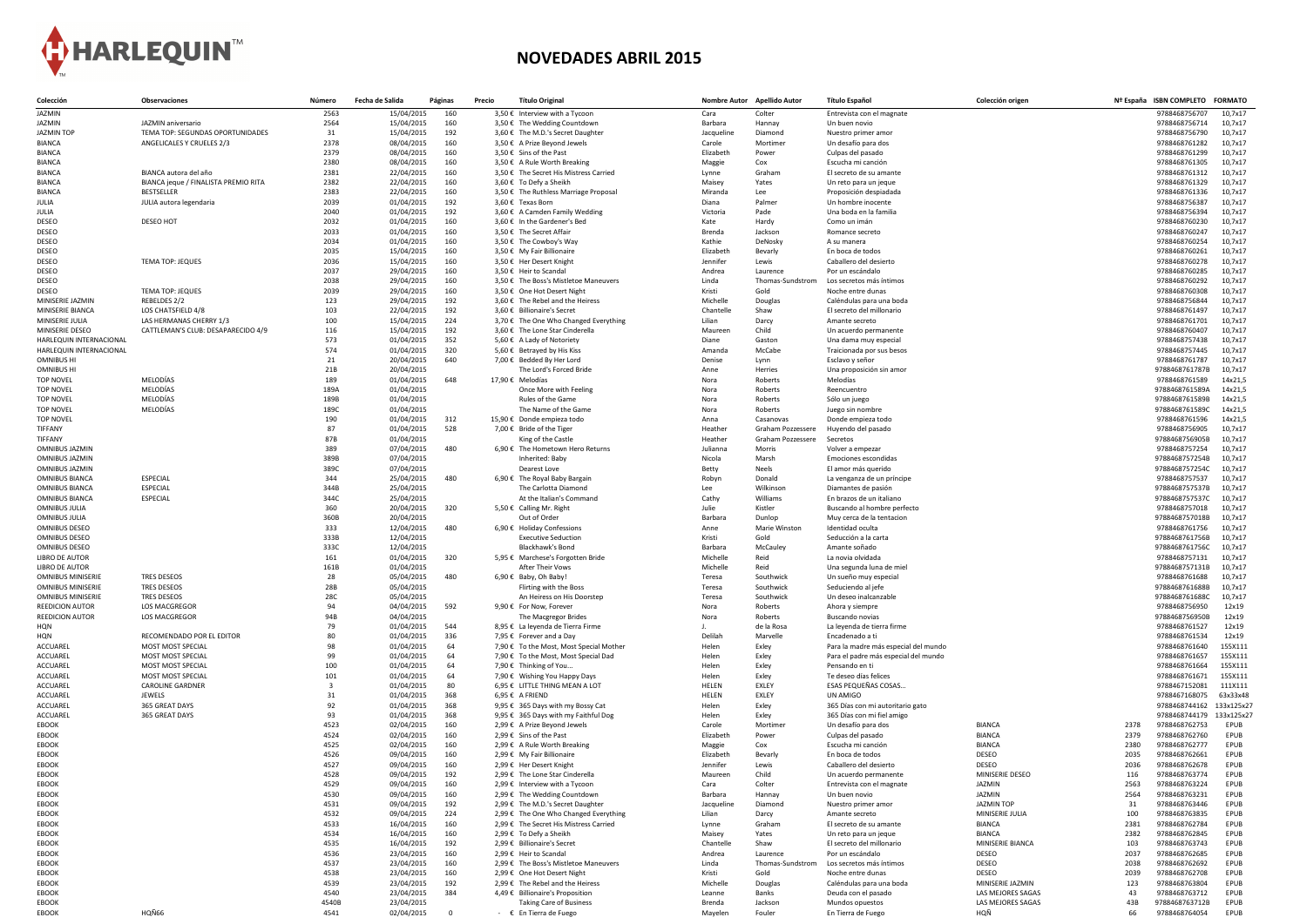

## **NOVEDADES ABRIL 2015**

| Colección                                            | <b>Observaciones</b>                                      | Número       | Fecha de Salida          | Páginas    | Precio | <b>Título Original</b>                                                 |                     | Nombre Autor Apellido Autor | <b>Título Español</b>                           | Colección origen              |              | Nº España ISBN COMPLETO          | <b>FORMATO</b>             |
|------------------------------------------------------|-----------------------------------------------------------|--------------|--------------------------|------------|--------|------------------------------------------------------------------------|---------------------|-----------------------------|-------------------------------------------------|-------------------------------|--------------|----------------------------------|----------------------------|
| JAZMIN                                               |                                                           | 2563         | 15/04/2015               | 160        |        | 3,50 € Interview with a Tycoon                                         | Cara                | Colter                      | Entrevista con el magnate                       |                               |              | 9788468756707                    | 10,7x17                    |
| JAZMIN                                               | JAZMIN aniversario                                        | 2564         | 15/04/2015               | 160        |        | 3,50 € The Wedding Countdown                                           | Barbara             | Hannay                      | Un buen novio                                   |                               |              | 9788468756714                    | 10,7x17                    |
| <b>JAZMIN TOP</b>                                    | TEMA TOP: SEGUNDAS OPORTUNIDADES                          | 31           | 15/04/2015               | 192        |        | 3,60 € The M.D.'s Secret Daughter                                      | Jacqueline          | Diamond                     | Nuestro primer amor                             |                               |              | 9788468756790                    | 10,7x17                    |
| <b>BIANCA</b>                                        | ANGELICALES Y CRUELES 2/3                                 | 2378         | 08/04/2015               | 160        |        | 3,50 € A Prize Beyond Jewels                                           | Carole              | Mortimer                    | Un desafío para dos                             |                               |              | 9788468761282                    | 10,7x17                    |
| <b>BIANCA</b>                                        |                                                           | 2379         | 08/04/2015               | 160        |        | 3,50 € Sins of the Past                                                | Elizabeth           | Power                       | Culpas del pasado                               |                               |              | 9788468761299                    | 10,7x17                    |
| <b>BIANCA</b>                                        |                                                           | 2380         | 08/04/2015               | 160        |        | 3,50 € A Rule Worth Breaking<br>3,50 € The Secret His Mistress Carried | Maggie              | Cox                         | Escucha mi canción                              |                               |              | 9788468761305                    | 10,7x17                    |
| <b>BIANCA</b><br><b>BIANCA</b>                       | BIANCA autora del año                                     | 2381         | 22/04/2015               | 160        |        |                                                                        | Lynne<br>Maisey     | Graham                      | El secreto de su amante                         |                               |              | 9788468761312<br>9788468761329   | 10,7x17<br>10,7x17         |
| <b>BIANCA</b>                                        | BIANCA jeque / FINALISTA PREMIO RITA<br><b>BESTSELLER</b> | 2382<br>2383 | 22/04/2015<br>22/04/2015 | 160<br>160 |        | 3,60 € To Defy a Sheikh<br>3,50 € The Ruthless Marriage Proposal       | Miranda             | Yates<br>Lee                | Un reto para un jeque<br>Proposición despiadada |                               |              | 9788468761336                    | 10,7x17                    |
| JULIA                                                | JULIA autora legendaria                                   | 2039         | 01/04/2015               | 192        |        | 3,60 € Texas Born                                                      | Diana               | Palmer                      | Un hombre inocente                              |                               |              | 9788468756387                    | 10,7x17                    |
| JULIA                                                |                                                           | 2040         | 01/04/2015               | 192        |        | 3,60 € A Camden Family Wedding                                         | Victoria            | Pade                        | Una boda en la familia                          |                               |              | 9788468756394                    | 10,7x17                    |
| <b>DESEO</b>                                         | DESEO HOT                                                 | 2032         | 01/04/2015               | 160        |        | 3,60 € In the Gardener's Bed                                           | Kate                | Hardy                       | Como un imán                                    |                               |              | 9788468760230                    | 10,7x17                    |
| <b>DESEO</b>                                         |                                                           | 2033         | 01/04/2015               | 160        |        | 3,50 € The Secret Affair                                               | Brenda              | Jackson                     | Romance secreto                                 |                               |              | 9788468760247                    | 10,7x17                    |
| <b>DESEO</b>                                         |                                                           | 2034         | 01/04/2015               | 160        |        | $3,50 \in$ The Cowboy's Way                                            | Kathie              | DeNosky                     | A su manera                                     |                               |              | 9788468760254                    | 10,7x17                    |
| <b>DESEO</b>                                         |                                                           | 2035         | 15/04/2015               | 160        |        | 3,50 € My Fair Billionaire                                             | Elizabeth           | Bevarly                     | En boca de todos                                |                               |              | 9788468760261                    | 10,7x17                    |
| <b>DESEO</b>                                         | <b>TEMA TOP: JEQUES</b>                                   | 2036         | 15/04/2015               | 160        |        | 3,50 € Her Desert Knight                                               | Jennifer            | Lewis                       | Caballero del desierto                          |                               |              | 9788468760278                    | 10,7x17                    |
| <b>DESEO</b>                                         |                                                           | 2037         | 29/04/2015               | 160        |        | 3,50 € Heir to Scandal                                                 | Andrea              | Laurence                    | Por un escándalo                                |                               |              | 9788468760285                    | 10,7x17                    |
| <b>DESEO</b>                                         |                                                           | 2038         | 29/04/2015               | 160        |        | 3,50 € The Boss's Mistletoe Maneuvers                                  | Linda               | Thomas-Sundstrom            | Los secretos más íntimos                        |                               |              | 9788468760292                    | 10,7x17                    |
| <b>DESEO</b>                                         | <b>TEMA TOP: JEQUES</b>                                   | 2039         | 29/04/2015               | 160        |        | 3,50 € One Hot Desert Night                                            | Kristi              | Gold                        | Noche entre dunas                               |                               |              | 9788468760308                    | 10,7x17                    |
| MINISERIE JAZMIN                                     | REBELDES 2/2                                              | 123          | 29/04/2015               | 192        |        | 3,60 € The Rebel and the Heiress                                       | Michelle            | Douglas                     | Caléndulas para una boda                        |                               |              | 9788468756844                    | 10,7x17                    |
| MINISERIE BIANCA                                     | LOS CHATSFIELD 4/8                                        | 103          | 22/04/2015               | 192        |        | 3,60 € Billionaire's Secret                                            | Chantelle           | Shaw                        | El secreto del millonario                       |                               |              | 9788468761497                    | 10,7x17                    |
| MINISERIE JULIA                                      | LAS HERMANAS CHERRY 1/3                                   | 100          | 15/04/2015               | 224        |        | 3,70 € The One Who Changed Everything                                  | Lilian              | Darcy                       | Amante secreto                                  |                               |              | 9788468761701                    | 10,7x17                    |
| MINISERIE DESEO                                      | CATTLEMAN'S CLUB: DESAPARECIDO 4/9                        | 116          | 15/04/2015               | 192        |        | 3,60 € The Lone Star Cinderella                                        | Maureen             | Child                       | Un acuerdo permanente                           |                               |              | 9788468760407                    | 10,7x17                    |
| HARLEQUIN INTERNACIONAL                              |                                                           | 573          | 01/04/2015               | 352        |        | 5,60 € A Lady of Notoriety                                             | Diane               | Gaston                      | Una dama muy especial                           |                               |              | 9788468757438                    | 10,7x17                    |
| HARLEQUIN INTERNACIONAL                              |                                                           | 574          | 01/04/2015               | 320        |        | 5,60 € Betrayed by His Kiss                                            | Amanda              | McCabe                      | Traicionada por sus besos                       |                               |              | 9788468757445                    | 10,7x17                    |
| <b>OMNIBUS HI</b>                                    |                                                           | 21           | 20/04/2015               | 640        |        | 7,00 € Bedded By Her Lord                                              | Denise              | Lynn                        | Esclavo y señor                                 |                               |              | 9788468761787                    | 10,7x17                    |
| <b>OMNIBUS HI</b><br><b>TOP NOVEL</b>                | MELODÍAS                                                  | 21B<br>189   | 20/04/2015               | 648        |        | The Lord's Forced Bride<br>17,90 € Melodías                            | Anne                | Herries                     | Una proposición sin amor<br>Melodías            |                               |              | 9788468761787B<br>9788468761589  | 10,7x17<br>14x21,5         |
|                                                      |                                                           |              | 01/04/2015               |            |        |                                                                        | Nora                | Roberts                     |                                                 |                               |              |                                  |                            |
| <b>TOP NOVEL</b><br><b>TOP NOVEL</b>                 | MELODÍAS<br>MELODÍAS                                      | 189A<br>189B | 01/04/2015<br>01/04/2015 |            |        | Once More with Feeling<br>Rules of the Game                            | Nora<br>Nora        | Roberts<br>Roberts          | Reencuentro<br>Sólo un juego                    |                               |              | 9788468761589A<br>9788468761589B | 14x21,5<br>14x21,5         |
| top Novel                                            | MELODÍAS                                                  | 189C         | 01/04/2015               |            |        | The Name of the Game                                                   | Nora                | Roberts                     | Juego sin nombre                                |                               |              | 9788468761589C                   | 14x21,5                    |
| <b>TOP NOVEL</b>                                     |                                                           | 190          | 01/04/2015               | 312        |        | 15,90 € Donde empieza todo                                             | Anna                | Casanovas                   | Donde empieza todo                              |                               |              | 9788468761596                    | 14x21,5                    |
| <b>TIFFANY</b>                                       |                                                           | 87           | 01/04/2015               | 528        |        | 7,00 € Bride of the Tiger                                              | Heather             | <b>Graham Pozzessere</b>    | Huyendo del pasado                              |                               |              | 9788468756905                    | 10,7x17                    |
| <b>TIFFANY</b>                                       |                                                           | 87B          | 01/04/2015               |            |        | King of the Castle                                                     | Heather             | Graham Pozzessere           | Secretos                                        |                               |              | 9788468756905B                   | 10,7x17                    |
| <b>OMNIBUS JAZMIN</b>                                |                                                           | 389          | 07/04/2015               | 480        |        | 6,90 € The Hometown Hero Returns                                       | Julianna            | Morris                      | Volver a empezar                                |                               |              | 9788468757254                    | 10,7x17                    |
| <b>OMNIBUS JAZMIN</b>                                |                                                           | 389B         | 07/04/2015               |            |        | Inherited: Baby                                                        | Nicola              | Marsh                       | Emociones escondidas                            |                               |              | 9788468757254B                   | 10,7x17                    |
| <b>OMNIBUS JAZMIN</b>                                |                                                           | 389C         | 07/04/2015               |            |        | Dearest Love                                                           | Betty               | <b>Neels</b>                | El amor más querido                             |                               |              | 9788468757254C                   | 10,7x17                    |
| <b>OMNIBUS BIANCA</b>                                | <b>ESPECIAL</b>                                           | 344          | 25/04/2015               | 480        |        | 6,90 € The Royal Baby Bargain                                          | Robyn               | Donald                      | La venganza de un príncipe                      |                               |              | 9788468757537                    | 10,7x17                    |
| <b>OMNIBUS BIANCA</b>                                | <b>ESPECIAL</b>                                           | 344B         | 25/04/2015               |            |        | The Carlotta Diamond                                                   | Lee                 | Wilkinson                   | Diamantes de pasión                             |                               |              | 9788468757537B                   | 10,7x17                    |
| <b>OMNIBUS BIANCA</b>                                | <b>ESPECIAL</b>                                           | 344C         | 25/04/2015               |            |        | At the Italian's Command                                               | Cathy               | Williams                    | En brazos de un italiano                        |                               |              | 9788468757537C                   | 10,7x17                    |
| <b>OMNIBUS JULIA</b>                                 |                                                           | 360          | 20/04/2015               | 320        |        | 5,50 € Calling Mr. Right                                               | Julie               | Kistler                     | Buscando al hombre perfecto                     |                               |              | 9788468757018                    | 10,7x17                    |
| <b>OMNIBUS JULIA</b>                                 |                                                           | 360B         | 20/04/2015               |            |        | Out of Order                                                           | Barbara             | Dunlop                      | Muy cerca de la tentacion                       |                               |              | 9788468757018B                   | 10,7x17                    |
| <b>OMNIBUS DESEO</b>                                 |                                                           | 333          | 12/04/2015               | 480        |        | 6,90 € Holiday Confessions                                             | Anne                | <b>Marie Winston</b>        | Identidad oculta                                |                               |              | 9788468761756                    | 10,7x17                    |
| <b>OMNIBUS DESEO</b>                                 |                                                           | 333B         | 12/04/2015               |            |        | <b>Executive Seduction</b>                                             | Kristi              | Gold                        | Seducción a la carta                            |                               |              | 9788468761756B                   | 10,7x17                    |
| <b>OMNIBUS DESEO</b>                                 |                                                           | 333C         | 12/04/2015               |            |        | Blackhawk's Bond                                                       | Barbara             | McCauley                    | Amante soñado                                   |                               |              | 9788468761756C                   | 10,7x17                    |
| <b>LIBRO DE AUTOR</b>                                |                                                           | 161          | 01/04/2015               | 320        |        | 5,95 € Marchese's Forgotten Bride                                      | Michelle            | Reid                        | La novia olvidada                               |                               |              | 9788468757131                    | 10,7x17                    |
| <b>LIBRO DE AUTOR</b>                                |                                                           | 161B         | 01/04/2015               |            |        | After Their Vows                                                       | Michelle            | Reid                        | Una segunda luna de miel                        |                               |              | 97884687571316                   | 10,7x17                    |
| <b>OMNIBUS MINISERIE</b>                             | <b>TRES DESEOS</b>                                        | 28           | 05/04/2015               | 480        |        | 6,90 € Baby, Oh Baby!                                                  | Teresa              | Southwick                   | Un sueño muy especial                           |                               |              | 9788468761688                    | 10,7x17                    |
| <b>OMNIBUS MINISERIE</b><br><b>OMNIBUS MINISERIE</b> | <b>TRES DESEOS</b><br><b>TRES DESEOS</b>                  | 28B<br>28C   | 05/04/2015<br>05/04/2015 |            |        | Flirting with the Boss<br>An Heiress on His Doorstep                   | Teresa<br>Teresa    | Southwick<br>Southwick      | Seduciendo al jefe<br>Un deseo inalcanzable     |                               |              | 9788468761688B<br>9788468761688C | 10,7x17<br>10,7x17         |
| <b>REEDICION AUTOR</b>                               | <b>LOS MACGREGOR</b>                                      | 94           | 04/04/2015               | 592        |        | 9,90 € For Now, Forever                                                | Nora                | Roberts                     | Ahora y siempre                                 |                               |              | 9788468756950                    | 12x19                      |
| <b>REEDICION AUTOR</b>                               | LOS MACGREGOR                                             | 94B          | 04/04/2015               |            |        | The Macgregor Brides                                                   | Nora                | Roberts                     | Buscando novias                                 |                               |              | 9788468756950B                   | 12x19                      |
| HQN                                                  |                                                           | 79           | 01/04/2015               | 544        |        | 8,95 € La leyenda de Tierra Firme                                      |                     | de la Rosa                  | La leyenda de tierra firme                      |                               |              | 9788468761527                    | 12x19                      |
| <b>HQN</b>                                           | RECOMENDADO POR EL EDITOR                                 | 80           | 01/04/2015               | 336        |        | 7,95 € Forever and a Day                                               | Delilah             | Marvelle                    | Encadenado a ti                                 |                               |              | 9788468761534                    | 12x19                      |
| ACCUAREL                                             | <b>MOST MOST SPECIAL</b>                                  | 98           | 01/04/2015               | 64         |        | 7,90 € To the Most, Most Special Mother                                | Helen               | Exley                       | Para la madre más especial del mundo            |                               |              | 9788468761640                    | 155X111                    |
| ACCUAREL                                             | <b>MOST MOST SPECIAL</b>                                  | 99           | 01/04/2015               | 64         |        | 7,90 € To the Most, Most Special Dad                                   | Helen               | Exley                       | Para el padre más especial del mundo            |                               |              | 9788468761657                    | 155X111                    |
| ACCUAREL                                             | <b>MOST MOST SPECIAL</b>                                  | 100          | 01/04/2015               | 64         |        | 7,90 € Thinking of You                                                 | Helen               | Exley                       | Pensando en ti                                  |                               |              | 9788468761664                    | 155X111                    |
| ACCUAREL                                             | <b>MOST MOST SPECIAL</b>                                  | 101          | 01/04/2015               | 64         |        | 7,90 € Wishing You Happy Days                                          | Helen               | Exley                       | Te deseo días felices                           |                               |              | 9788468761671                    | 155X111                    |
| ACCUAREL                                             | <b>CAROLINE GARDNER</b>                                   |              | 01/04/2015               | 80         |        | 6,95 € LITTLE THING MEAN A LOT                                         | <b>HELEN</b>        | <b>EXLEY</b>                | <b>ESAS PEQUEÑAS COSAS</b>                      |                               |              | 9788467152081                    | 111X111                    |
| ACCUAREL                                             | <b>JEWELS</b>                                             |              | 01/04/2015               | 368        |        | $6,95 \in A$ FRIEND                                                    | <b>HELEN</b>        | <b>EXLEY</b>                | <b>UN AMIGO</b>                                 |                               |              | 9788467168075                    | 63x33x48                   |
| <b>ACCUAREL</b>                                      | 365 GREAT DAYS                                            | 92           | 01/04/2015               | 368        |        | 9,95 € 365 Days with my Bossy Cat                                      | Helen               | Exley                       | 365 Días con mi autoritario gato                |                               |              | 9788468744162                    | 133x125x2                  |
| ACCUAREL                                             | 365 GREAT DAYS                                            | 93           | 01/04/2015               | 368        |        | 9,95 € 365 Days with my Faithful Dog                                   | Helen               | Exley                       | 365 Días con mi fiel amigo                      |                               |              | 9788468744179 133x125x27         |                            |
| <b>EBOOK</b>                                         |                                                           | 4523         | 02/04/2015               | 160        |        | 2,99 € A Prize Beyond Jewels                                           | Carole              | Mortimer                    | Un desafío para dos                             | <b>BIANCA</b>                 | 2378         | 9788468762753                    | <b>EPUB</b>                |
| <b>EBOOK</b>                                         |                                                           | 4524         | 02/04/2015               | 160        |        | 2,99 € Sins of the Past                                                | Elizabeth           | Power                       | Culpas del pasado                               | <b>BIANCA</b>                 | 2379         | 9788468762760                    | <b>EPUB</b>                |
| <b>EBOOK</b><br><b>EBOOK</b>                         |                                                           | 4525<br>4526 | 02/04/2015<br>09/04/2015 | 160<br>160 |        | 2,99 € A Rule Worth Breaking<br>2,99 € My Fair Billionaire             | Maggie<br>Elizabeth | Cox<br>Bevarly              | Escucha mi canción                              | <b>BIANCA</b><br><b>DESEO</b> | 2380<br>2035 | 9788468762777<br>9788468762661   | <b>EPUB</b><br><b>EPUB</b> |
| <b>EBOOK</b>                                         |                                                           | 4527         | 09/04/2015               | 160        |        | 2,99 € Her Desert Knight                                               | Jennifer            | Lewis                       | En boca de todos<br>Caballero del desierto      | <b>DESEO</b>                  | 2036         | 9788468762678                    | <b>EPUB</b>                |
| <b>EBOOK</b>                                         |                                                           | 4528         | 09/04/2015               | 192        |        | 2,99 € The Lone Star Cinderella                                        | Maureen             | Child                       | Un acuerdo permanente                           | MINISERIE DESEO               | 116          | 9788468763774                    | <b>EPUB</b>                |
| <b>EBOOK</b>                                         |                                                           | 4529         | 09/04/2015               | 160        |        | 2,99 € Interview with a Tycoon                                         | Cara                | Colter                      | Entrevista con el magnate                       | <b>JAZMIN</b>                 | 2563         | 9788468763224                    | <b>EPUB</b>                |
| <b>EBOOK</b>                                         |                                                           | 4530         | 09/04/2015               | 160        |        | 2,99 € The Wedding Countdown                                           | Barbara             | Hannay                      | Un buen novio                                   | <b>JAZMIN</b>                 | 2564         | 9788468763231                    | <b>EPUB</b>                |
| EBOOK                                                |                                                           | 4531         | 09/04/2015               | 192        |        | 2,99 € The M.D.'s Secret Daughter                                      | Jacqueline          | Diamond                     | Nuestro primer amor                             | <b>JAZMIN TOP</b>             | 31           | 9788468763446                    | <b>EPUB</b>                |
| <b>EBOOK</b>                                         |                                                           | 4532         | 09/04/2015               | 224        |        | 2,99 € The One Who Changed Everything                                  | Lilian              | Darcy                       | Amante secreto                                  | MINISERIE JULIA               | 100          | 9788468763835                    | EPUB                       |
| <b>EBOOK</b>                                         |                                                           | 4533         | 16/04/2015               | 160        |        | 2,99 € The Secret His Mistress Carried                                 | Lynne               | Graham                      | El secreto de su amante                         | <b>BIANCA</b>                 | 2381         | 9788468762784                    | <b>EPUB</b>                |
| EBOOK                                                |                                                           | 4534         | 16/04/2015               | 160        |        | 2,99 € To Defy a Sheikh                                                | Maisey              | Yates                       | Un reto para un jeque                           | <b>BIANCA</b>                 | 2382         | 9788468762845                    | <b>EPUB</b>                |
| <b>EBOOK</b>                                         |                                                           | 4535         | 16/04/2015               | 192        |        | 2,99 € Billionaire's Secret                                            | Chantelle           | Shaw                        | El secreto del millonario                       | MINISERIE BIANCA              | 103          | 9788468763743                    | <b>EPUB</b>                |
| <b>EBOOK</b>                                         |                                                           | 4536         | 23/04/2015               | 160        |        | 2,99 € Heir to Scandal                                                 | Andrea              | Laurence                    | Por un escándalo                                | <b>DESEO</b>                  | 2037         | 9788468762685                    | <b>EPUB</b>                |
| <b>EBOOK</b>                                         |                                                           | 4537         | 23/04/2015               | 160        |        | 2,99 € The Boss's Mistletoe Maneuvers                                  | Linda               | Thomas-Sundstrom            | Los secretos más íntimos                        | <b>DESEO</b>                  | 2038         | 9788468762692                    | <b>EPUB</b>                |
| <b>EBOOK</b>                                         |                                                           | 4538         | 23/04/2015               | 160        |        | 2,99 € One Hot Desert Night                                            | Kristi              | Gold                        | Noche entre dunas                               | <b>DESEO</b>                  | 2039         | 9788468762708                    | EPUB                       |
| <b>EBOOK</b>                                         |                                                           | 4539         | 23/04/2015               | 192        |        | 2,99 € The Rebel and the Heiress                                       | Michelle            | Douglas                     | Caléndulas para una boda                        | MINISERIE JAZMIN              | 123          | 9788468763804                    | <b>EPUB</b>                |
| <b>EBOOK</b>                                         |                                                           | 4540         | 23/04/2015               | 384        |        | 4,49 € Billionaire's Proposition                                       | Leanne              | Banks                       | Deuda con el pasado                             | LAS MEJORES SAGAS             | 43           | 9788468763712                    | <b>EPUB</b>                |
| <b>EBOOK</b>                                         |                                                           | 4540B        | 23/04/2015               |            |        | <b>Taking Care of Business</b>                                         | <b>Brenda</b>       | Jackson                     | Mundos opuestos                                 | LAS MEJORES SAGAS             |              | 9788468763712B                   | <b>EPUB</b>                |
| <b>EBOOK</b>                                         | HQÑ66                                                     | 4541         | 02/04/2015               |            |        | $\cdot \in \mathsf{E}$ En Tierra de Fuego                              | Mayelen             | Fouler                      | En Tierra de Fuego                              | HQÑ                           | 66           | 9788468764054                    | EPUB                       |